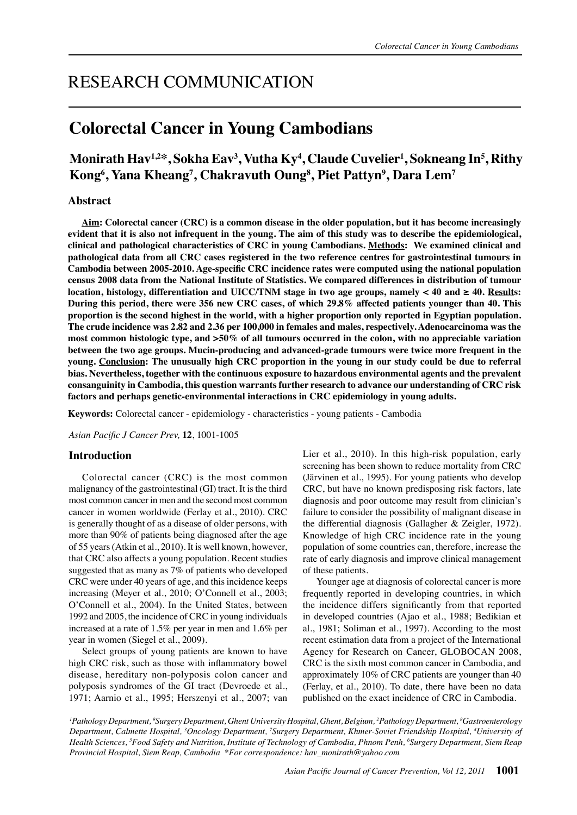# RESEARCH COMMUNICATION

## **Colorectal Cancer in Young Cambodians**

## **Monirath Hav1,2\*, Sokha Eav3 , Vutha Ky4 , Claude Cuvelier1 , Sokneang In5 , Rithy**   $\mathbf{Kong^6}, \mathbf{Yana}\ \mathbf{Kheang^7}, \mathbf{Chakravuth}\ \mathbf{Oung^8}, \mathbf{Piet}\ \mathbf{Pattyn^9}, \mathbf{Dara}\ \mathbf{Lem^7}$

## **Abstract**

**Aim: Colorectal cancer (CRC) is a common disease in the older population, but it has become increasingly evident that it is also not infrequent in the young. The aim of this study was to describe the epidemiological, clinical and pathological characteristics of CRC in young Cambodians. Methods: We examined clinical and pathological data from all CRC cases registered in the two reference centres for gastrointestinal tumours in Cambodia between 2005-2010. Age-specific CRC incidence rates were computed using the national population census 2008 data from the National Institute of Statistics. We compared differences in distribution of tumour location, histology, differentiation and UICC/TNM stage in two age groups, namely**  $\lt$  **40 and**  $\geq$  **40. Results: During this period, there were 356 new CRC cases, of which 29.8% affected patients younger than 40. This proportion is the second highest in the world, with a higher proportion only reported in Egyptian population. The crude incidence was 2.82 and 2.36 per 100,000 in females and males, respectively. Adenocarcinoma was the most common histologic type, and >50% of all tumours occurred in the colon, with no appreciable variation between the two age groups. Mucin-producing and advanced-grade tumours were twice more frequent in the young. Conclusion: The unusually high CRC proportion in the young in our study could be due to referral bias. Nevertheless, together with the continuous exposure to hazardous environmental agents and the prevalent consanguinity in Cambodia, this question warrants further research to advance our understanding of CRC risk factors and perhaps genetic-environmental interactions in CRC epidemiology in young adults.** 

**Keywords:** Colorectal cancer - epidemiology - characteristics - young patients - Cambodia

*Asian Pacific J Cancer Prev,* **12**, 1001-1005

#### **Introduction**

Colorectal cancer (CRC) is the most common malignancy of the gastrointestinal (GI) tract. It is the third most common cancer in men and the second most common cancer in women worldwide (Ferlay et al., 2010). CRC is generally thought of as a disease of older persons, with more than 90% of patients being diagnosed after the age of 55 years (Atkin et al., 2010). It is well known, however, that CRC also affects a young population. Recent studies suggested that as many as 7% of patients who developed CRC were under 40 years of age, and this incidence keeps increasing (Meyer et al., 2010; O'Connell et al., 2003; O'Connell et al., 2004). In the United States, between 1992 and 2005, the incidence of CRC in young individuals increased at a rate of 1.5% per year in men and 1.6% per year in women (Siegel et al., 2009).

Select groups of young patients are known to have high CRC risk, such as those with inflammatory bowel disease, hereditary non-polyposis colon cancer and polyposis syndromes of the GI tract (Devroede et al., 1971; Aarnio et al., 1995; Herszenyi et al., 2007; van Lier et al., 2010). In this high-risk population, early screening has been shown to reduce mortality from CRC (Järvinen et al., 1995). For young patients who develop CRC, but have no known predisposing risk factors, late diagnosis and poor outcome may result from clinician's failure to consider the possibility of malignant disease in the differential diagnosis (Gallagher & Zeigler, 1972). Knowledge of high CRC incidence rate in the young population of some countries can, therefore, increase the rate of early diagnosis and improve clinical management of these patients.

Younger age at diagnosis of colorectal cancer is more frequently reported in developing countries, in which the incidence differs significantly from that reported in developed countries (Ajao et al., 1988; Bedikian et al., 1981; Soliman et al., 1997). According to the most recent estimation data from a project of the International Agency for Research on Cancer, GLOBOCAN 2008, CRC is the sixth most common cancer in Cambodia, and approximately 10% of CRC patients are younger than 40 (Ferlay, et al., 2010). To date, there have been no data published on the exact incidence of CRC in Cambodia.

*1 Pathology Department, <sup>9</sup> Surgery Department, Ghent University Hospital, Ghent, Belgium, 2 Pathology Department, <sup>8</sup> Gastroenterology Department, Calmette Hospital, <sup>3</sup> Oncology Department, <sup>7</sup> Surgery Department, Khmer-Soviet Friendship Hospital, <sup>4</sup> University of Health Sciences, <sup>5</sup> Food Safety and Nutrition, Institute of Technology of Cambodia, Phnom Penh, <sup>6</sup> Surgery Department, Siem Reap Provincial Hospital, Siem Reap, Cambodia \*For correspondence: hav\_monirath@yahoo.com*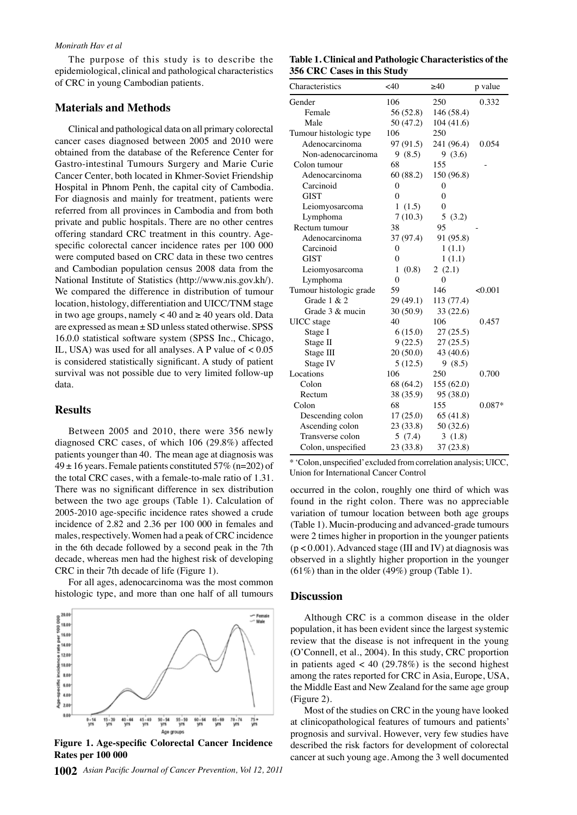#### *Monirath Hav et al*

The purpose of this study is to describe the epidemiological, clinical and pathological characteristics of CRC in young Cambodian patients.

#### **Materials and Methods**

Clinical and pathological data on all primary colorectal cancer cases diagnosed between 2005 and 2010 were obtained from the database of the Reference Center for Gastro-intestinal Tumours Surgery and Marie Curie Cancer Center, both located in Khmer-Soviet Friendship Hospital in Phnom Penh, the capital city of Cambodia. For diagnosis and mainly for treatment, patients were referred from all provinces in Cambodia and from both private and public hospitals. There are no other centres offering standard CRC treatment in this country. Agespecific colorectal cancer incidence rates per 100 000 were computed based on CRC data in these two centres and Cambodian population census 2008 data from the National Institute of Statistics (http://www.nis.gov.kh/). We compared the difference in distribution of tumour location, histology, differentiation and UICC/TNM stage in two age groups, namely  $< 40$  and  $\geq 40$  years old. Data are expressed as mean ± SD unless stated otherwise. SPSS 16.0.0 statistical software system (SPSS Inc., Chicago, IL, USA) was used for all analyses. A P value of < 0.05 is considered statistically significant. A study of patient survival was not possible due to very limited follow-up data.

## **Results**

Between 2005 and 2010, there were 356 newly diagnosed CRC cases, of which 106 (29.8%) affected patients younger than 40. The mean age at diagnosis was  $49 \pm 16$  years. Female patients constituted 57% (n=202) of the total CRC cases, with a female-to-male ratio of 1.31. There was no significant difference in sex distribution between the two age groups (Table 1). Calculation of 2005-2010 age-specific incidence rates showed a crude incidence of 2.82 and 2.36 per 100 000 in females and males, respectively. Women had a peak of CRC incidence in the 6th decade followed by a second peak in the 7th decade, whereas men had the highest risk of developing CRC in their 7th decade of life (Figure 1).

For all ages, adenocarcinoma was the most common histologic type, and more than one half of all tumours



**Figure 1. Age-specific Colorectal Cancer Incidence Rates per 100 000**

#### **Table 1. Clinical and Pathologic Characteristics of the 356 CRC Cases in this Study**

| Characteristics         | $<$ 40         | $>40$            | p value  |       |
|-------------------------|----------------|------------------|----------|-------|
| Gender                  | 106            | 250              | 0.332    |       |
| Female                  | 56 (52.8)      | 146 (58.4)       |          |       |
| Male                    | 50 (47.2)      | 104(41.6)        |          |       |
| Tumour histologic type  | 106            | 250              |          |       |
| Adenocarcinoma          | 97 (91.5)      | 241 (96.4)       | 0.054    |       |
| Non-adenocarcinoma      | 9(8.5)         | 9(3.6)           |          |       |
| Colon tumour            | 68             | 155              |          |       |
| Adenocarcinoma          | 60(88.2)       | 150 (96.8)       |          | 100.0 |
| Carcinoid               | 0              | $\boldsymbol{0}$ |          |       |
| <b>GIST</b>             | $\theta$       | $\overline{0}$   |          |       |
| Leiomyosarcoma          | 1<br>(1.5)     | $\theta$         |          |       |
| Lymphoma                | 7(10.3)        | 5(3.2)           |          | 75.0  |
| Rectum tumour           | 38             | 95               |          |       |
| Adenocarcinoma          | 37 (97.4)      | 91 (95.8)        |          |       |
| Carcinoid               | $\overline{0}$ | 1(1.1)           |          |       |
| <b>GIST</b>             | $\theta$       | 1(1.1)           |          | 50.0  |
| Leiomyosarcoma          | (0.8)<br>1     | 2(2.1)           |          |       |
| Lymphoma                | $\theta$       | 0                |          |       |
| Tumour histologic grade | 59             | 146              | < 0.001  | 25.0  |
| Grade 1 & 2             | 29 (49.1)      | 113 (77.4)       |          |       |
| Grade 3 & mucin         | 30(50.9)       | 33 (22.6)        |          |       |
| UICC stage              | 40             | 106              | 0.457    |       |
| Stage I                 | 6(15.0)        | 27(25.5)         |          | 0     |
| Stage II                | 9(22.5)        | 27(25.5)         |          |       |
| Stage III               | 20(50.0)       | 43 (40.6)        |          |       |
| Stage IV                | 5(12.5)        | 9(8.5)           |          |       |
| Locations               | 106            | 250              | 0.700    |       |
| Colon                   | 68 (64.2)      | 155(62.0)        |          |       |
| Rectum                  | 38 (35.9)      | 95 (38.0)        |          |       |
| Colon                   | 68             | 155              | $0.087*$ |       |
| Descending colon        | 17(25.0)       | 65 (41.8)        |          |       |
| Ascending colon         | 23 (33.8)      | 50 (32.6)        |          |       |
| Transverse colon        | 5(7.4)         | 3(1.8)           |          |       |
| Colon, unspecified      | 23 (33.8)      | 37 (23.8)        |          |       |

\* 'Colon, unspecified' excluded from correlation analysis; UICC, Union for International Cancer Control

occurred in the colon, roughly one third of which was found in the right colon. There was no appreciable variation of tumour location between both age groups (Table 1). Mucin-producing and advanced-grade tumours were 2 times higher in proportion in the younger patients  $(p < 0.001)$ . Advanced stage (III and IV) at diagnosis was observed in a slightly higher proportion in the younger  $(61\%)$  than in the older (49%) group (Table 1).

## **Discussion**

Although CRC is a common disease in the older population, it has been evident since the largest systemic review that the disease is not infrequent in the young (O'Connell, et al., 2004). In this study, CRC proportion in patients aged  $< 40$  (29.78%) is the second highest among the rates reported for CRC in Asia, Europe, USA, the Middle East and New Zealand for the same age group (Figure 2).

Most of the studies on CRC in the young have looked at clinicopathological features of tumours and patients' prognosis and survival. However, very few studies have described the risk factors for development of colorectal cancer at such young age. Among the 3 well documented **20.3 6.3 10.1**

**46.8 56.3**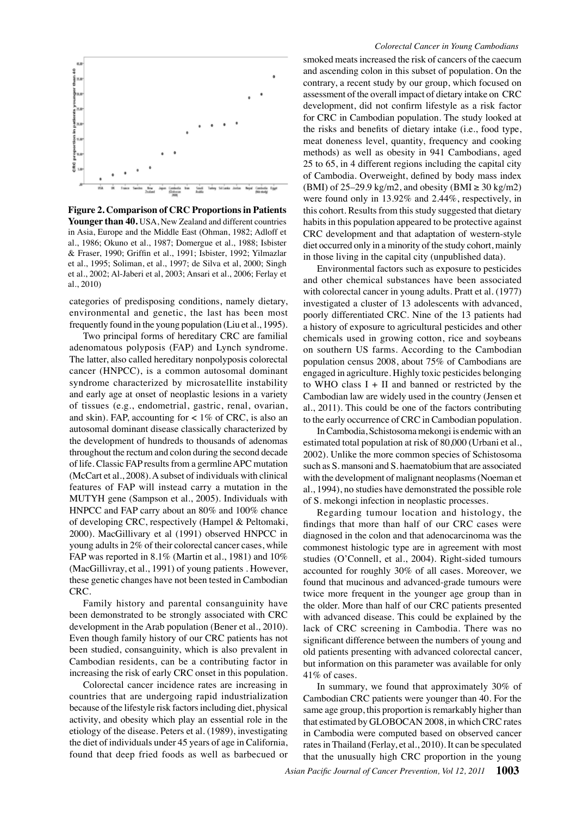

**Figure 2. Comparison of CRC Proportions in Patients**  Younger than 40. USA, New Zealand and different countries in Asia, Europe and the Middle East (Ohman, 1982; Adloff et al., 1986; Okuno et al., 1987; Domergue et al., 1988; Isbister & Fraser, 1990; Griffin et al., 1991; Isbister, 1992; Yilmazlar et al., 1995; Soliman, et al., 1997; de Silva et al, 2000; Singh et al., 2002; Al-Jaberi et al, 2003; Ansari et al., 2006; Ferlay et al., 2010)

categories of predisposing conditions, namely dietary, environmental and genetic, the last has been most frequently found in the young population (Liu et al., 1995).

Two principal forms of hereditary CRC are familial adenomatous polyposis (FAP) and Lynch syndrome. The latter, also called hereditary nonpolyposis colorectal cancer (HNPCC), is a common autosomal dominant syndrome characterized by microsatellite instability and early age at onset of neoplastic lesions in a variety of tissues (e.g., endometrial, gastric, renal, ovarian, and skin). FAP, accounting for  $< 1\%$  of CRC, is also an autosomal dominant disease classically characterized by the development of hundreds to thousands of adenomas throughout the rectum and colon during the second decade of life. Classic FAP results from a germline APC mutation (McCart et al., 2008). A subset of individuals with clinical features of FAP will instead carry a mutation in the MUTYH gene (Sampson et al., 2005). Individuals with HNPCC and FAP carry about an 80% and 100% chance of developing CRC, respectively (Hampel & Peltomaki, 2000). MacGillivary et al (1991) observed HNPCC in young adults in 2% of their colorectal cancer cases, while FAP was reported in 8.1% (Martin et al., 1981) and 10% (MacGillivray, et al., 1991) of young patients . However, these genetic changes have not been tested in Cambodian CRC.

Family history and parental consanguinity have been demonstrated to be strongly associated with CRC development in the Arab population (Bener et al., 2010). Even though family history of our CRC patients has not been studied, consanguinity, which is also prevalent in Cambodian residents, can be a contributing factor in increasing the risk of early CRC onset in this population.

Colorectal cancer incidence rates are increasing in countries that are undergoing rapid industrialization because of the lifestyle risk factors including diet, physical activity, and obesity which play an essential role in the etiology of the disease. Peters et al. (1989), investigating the diet of individuals under 45 years of age in California, found that deep fried foods as well as barbecued or

smoked meats increased the risk of cancers of the caecum and ascending colon in this subset of population. On the contrary, a recent study by our group, which focused on assessment of the overall impact of dietary intake on CRC development, did not confirm lifestyle as a risk factor for CRC in Cambodian population. The study looked at the risks and benefits of dietary intake (i.e., food type, meat doneness level, quantity, frequency and cooking methods) as well as obesity in 941 Cambodians, aged 25 to 65, in 4 different regions including the capital city of Cambodia. Overweight, defined by body mass index (BMI) of 25–29.9 kg/m2, and obesity (BMI  $\geq$  30 kg/m2) were found only in 13.92% and 2.44%, respectively, in this cohort. Results from this study suggested that dietary habits in this population appeared to be protective against CRC development and that adaptation of western-style diet occurred only in a minority of the study cohort, mainly in those living in the capital city (unpublished data).

Environmental factors such as exposure to pesticides and other chemical substances have been associated with colorectal cancer in young adults. Pratt et al. (1977) investigated a cluster of 13 adolescents with advanced, poorly differentiated CRC. Nine of the 13 patients had a history of exposure to agricultural pesticides and other chemicals used in growing cotton, rice and soybeans on southern US farms. According to the Cambodian population census 2008, about 75% of Cambodians are engaged in agriculture. Highly toxic pesticides belonging to WHO class  $I + II$  and banned or restricted by the Cambodian law are widely used in the country (Jensen et al., 2011). This could be one of the factors contributing to the early occurrence of CRC in Cambodian population.

In Cambodia, Schistosoma mekongi is endemic with an estimated total population at risk of 80,000 (Urbani et al., 2002). Unlike the more common species of Schistosoma such as S. mansoni and S. haematobium that are associated with the development of malignant neoplasms (Noeman et al., 1994), no studies have demonstrated the possible role of S. mekongi infection in neoplastic processes.

Regarding tumour location and histology, the findings that more than half of our CRC cases were diagnosed in the colon and that adenocarcinoma was the commonest histologic type are in agreement with most studies (O'Connell, et al., 2004). Right-sided tumours accounted for roughly 30% of all cases. Moreover, we found that mucinous and advanced-grade tumours were twice more frequent in the younger age group than in the older. More than half of our CRC patients presented with advanced disease. This could be explained by the lack of CRC screening in Cambodia. There was no significant difference between the numbers of young and old patients presenting with advanced colorectal cancer, but information on this parameter was available for only 41% of cases.

In summary, we found that approximately 30% of Cambodian CRC patients were younger than 40. For the same age group, this proportion is remarkably higher than that estimated by GLOBOCAN 2008, in which CRC rates in Cambodia were computed based on observed cancer rates in Thailand (Ferlay, et al., 2010). It can be speculated that the unusually high CRC proportion in the young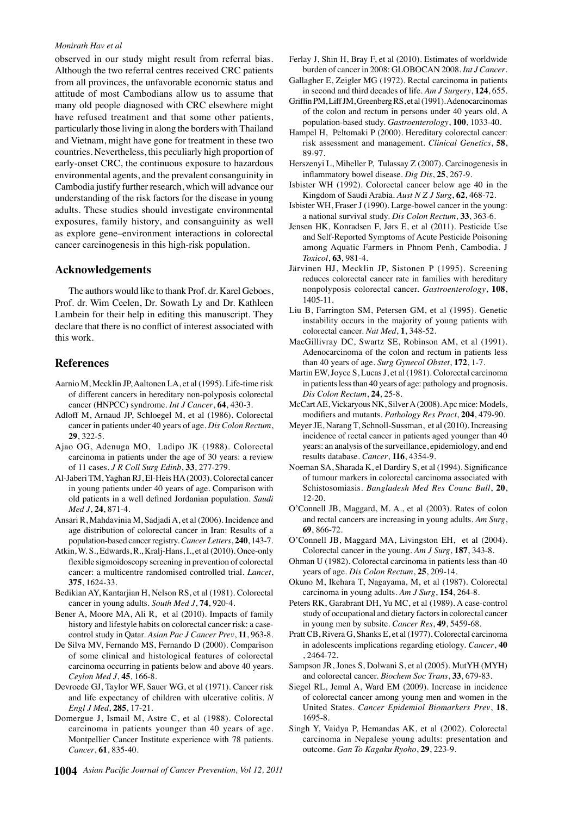#### *Monirath Hav et al*

observed in our study might result from referral bias. Although the two referral centres received CRC patients from all provinces, the unfavorable economic status and attitude of most Cambodians allow us to assume that many old people diagnosed with CRC elsewhere might have refused treatment and that some other patients, particularly those living in along the borders with Thailand and Vietnam, might have gone for treatment in these two countries. Nevertheless, this peculiarly high proportion of early-onset CRC, the continuous exposure to hazardous environmental agents, and the prevalent consanguinity in Cambodia justify further research, which will advance our understanding of the risk factors for the disease in young adults. These studies should investigate environmental exposures, family history, and consanguinity as well as explore gene–environment interactions in colorectal cancer carcinogenesis in this high-risk population.

## **Acknowledgements**

The authors would like to thank Prof. dr. Karel Geboes, Prof. dr. Wim Ceelen, Dr. Sowath Ly and Dr. Kathleen Lambein for their help in editing this manuscript. They declare that there is no conflict of interest associated with this work.

## **References**

- Aarnio M, Mecklin JP, Aaltonen LA, et al (1995). Life-time risk of different cancers in hereditary non-polyposis colorectal cancer (HNPCC) syndrome. *Int J Cancer*, **64**, 430-3.
- Adloff M, Arnaud JP, Schloegel M, et al (1986). Colorectal cancer in patients under 40 years of age. *Dis Colon Rectum*, **29**, 322-5.
- Ajao OG, Adenuga MO, Ladipo JK (1988). Colorectal carcinoma in patients under the age of 30 years: a review of 11 cases. *J R Coll Surg Edinb*, **33**, 277-279.
- Al-Jaberi TM, Yaghan RJ, El-Heis HA (2003). Colorectal cancer in young patients under 40 years of age. Comparison with old patients in a well defined Jordanian population. *Saudi Med J*, **24**, 871-4.
- Ansari R, Mahdavinia M, Sadjadi A, et al (2006). Incidence and age distribution of colorectal cancer in Iran: Results of a population-based cancer registry. *Cancer Letters*, **240**, 143-7.
- Atkin, W. S., Edwards, R., Kralj-Hans, I., et al (2010). Once-only flexible sigmoidoscopy screening in prevention of colorectal cancer: a multicentre randomised controlled trial. *Lancet*, **375**, 1624-33.
- Bedikian AY, Kantarjian H, Nelson RS, et al (1981). Colorectal cancer in young adults. *South Med J*, **74**, 920-4.
- Bener A, Moore MA, Ali R, et al (2010). Impacts of family history and lifestyle habits on colorectal cancer risk: a casecontrol study in Qatar. *Asian Pac J Cancer Prev*, **11**, 963-8.
- De Silva MV, Fernando MS, Fernando D (2000). Comparison of some clinical and histological features of colorectal carcinoma occurring in patients below and above 40 years. *Ceylon Med J*, **45**, 166-8.
- Devroede GJ, Taylor WF, Sauer WG, et al (1971). Cancer risk and life expectancy of children with ulcerative colitis. *N Engl J Med*, **285**, 17-21.
- Domergue J, Ismail M, Astre C, et al (1988). Colorectal carcinoma in patients younger than 40 years of age. Montpellier Cancer Institute experience with 78 patients. *Cancer*, **61**, 835-40.
- **1004** *Asian Pacific Journal of Cancer Prevention, Vol 12, 2011*
- Ferlay J, Shin H, Bray F, et al (2010). Estimates of worldwide burden of cancer in 2008: GLOBOCAN 2008. *Int J Cancer*.
- Gallagher E, Zeigler MG (1972). Rectal carcinoma in patients in second and third decades of life. *Am J Surgery*, **124**, 655.
- Griffin PM, Liff JM, Greenberg RS, et al (1991). Adenocarcinomas of the colon and rectum in persons under 40 years old. A population-based study. *Gastroenterology*, **100**, 1033-40.
- Hampel H, Peltomaki P (2000). Hereditary colorectal cancer: risk assessment and management. *Clinical Genetics*, **58**, 89-97.
- Herszenyi L, Miheller P, Tulassay Z (2007). Carcinogenesis in inflammatory bowel disease. *Dig Dis*, **25**, 267-9.
- Isbister WH (1992). Colorectal cancer below age 40 in the Kingdom of Saudi Arabia. *Aust N Z J Surg*, **62**, 468-72.
- Isbister WH, Fraser J (1990). Large-bowel cancer in the young: a national survival study. *Dis Colon Rectum*, **33**, 363-6.
- Jensen HK, Konradsen F, Jørs E, et al (2011). Pesticide Use and Self-Reported Symptoms of Acute Pesticide Poisoning among Aquatic Farmers in Phnom Penh, Cambodia. J *Toxicol*, **63**, 981-4.
- Järvinen HJ, Mecklin JP, Sistonen P (1995). Screening reduces colorectal cancer rate in families with hereditary nonpolyposis colorectal cancer. *Gastroenterology*, **108**, 1405-11.
- Liu B, Farrington SM, Petersen GM, et al (1995). Genetic instability occurs in the majority of young patients with colorectal cancer. *Nat Med*, **1**, 348-52.
- MacGillivray DC, Swartz SE, Robinson AM, et al (1991). Adenocarcinoma of the colon and rectum in patients less than 40 years of age. *Surg Gynecol Obstet*, **172**, 1-7.
- Martin EW, Joyce S, Lucas J, et al (1981). Colorectal carcinoma in patients less than 40 years of age: pathology and prognosis. *Dis Colon Rectum*, **24**, 25-8.
- McCart AE, Vickaryous NK, Silver A (2008). Apc mice: Models, modifiers and mutants. *Pathology Res Pract*, **204**, 479-90.
- Meyer JE, Narang T, Schnoll-Sussman, et al (2010). Increasing incidence of rectal cancer in patients aged younger than 40 years: an analysis of the surveillance, epidemiology, and end results database. *Cancer*, **116**, 4354-9.
- Noeman SA, Sharada K, el Dardiry S, et al (1994). Significance of tumour markers in colorectal carcinoma associated with Schistosomiasis. *Bangladesh Med Res Counc Bull*, **20**, 12-20.
- O'Connell JB, Maggard, M. A., et al (2003). Rates of colon and rectal cancers are increasing in young adults. *Am Surg*, **69**, 866-72.
- O'Connell JB, Maggard MA, Livingston EH, et al (2004). Colorectal cancer in the young. *Am J Surg*, **187**, 343-8.
- Ohman U (1982). Colorectal carcinoma in patients less than 40 years of age. *Dis Colon Rectum*, **25**, 209-14.
- Okuno M, Ikehara T, Nagayama, M, et al (1987). Colorectal carcinoma in young adults. *Am J Surg*, **154**, 264-8.
- Peters RK, Garabrant DH, Yu MC, et al (1989). A case-control study of occupational and dietary factors in colorectal cancer in young men by subsite. *Cancer Res*, **49**, 5459-68.
- Pratt CB, Rivera G, Shanks E, et al (1977). Colorectal carcinoma in adolescents implications regarding etiology. *Cancer*, **40** , 2464-72.
- Sampson JR, Jones S, Dolwani S, et al (2005). MutYH (MYH) and colorectal cancer. *Biochem Soc Trans*, **33**, 679-83.
- Siegel RL, Jemal A, Ward EM (2009). Increase in incidence of colorectal cancer among young men and women in the United States. *Cancer Epidemiol Biomarkers Prev*, **18**, 1695-8.
- Singh Y, Vaidya P, Hemandas AK, et al (2002). Colorectal carcinoma in Nepalese young adults: presentation and outcome. *Gan To Kagaku Ryoho*, **29**, 223-9.